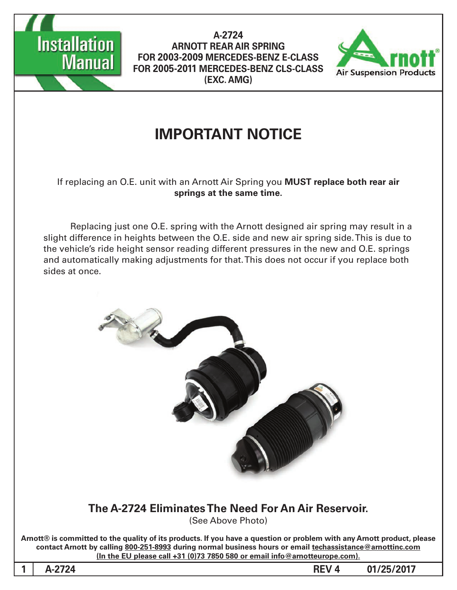



## **IMPORTANT NOTICE**

#### If replacing an O.E. unit with an Arnott Air Spring you MUST replace both rear air springs at the same time.

Replacing just one O.E. spring with the Arnott designed air spring may result in a slight difference in heights between the O.E. side and new air spring side. This is due to the vehicle's ride height sensor reading different pressures in the new and O.E. springs and automatically making adjustments for that. This does not occur if you replace both sides at once.



Arnott® is committed to the quality of its products. If you have a question or problem with any Arnott product, please contact Arnott by calling 800-251-8993 during normal business hours or email techassistance@arnottinc.com  $($ In the EU please call  $+31$   $(0)73$  7850 580 or email info @arnotteurope.com $).$ 

1 A-2724 **REV** 4 01/25/2017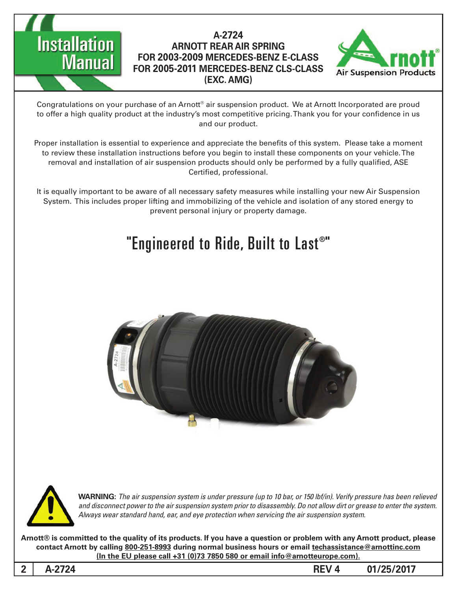



Congratulations on your purchase of an Arnott® air suspension product. We at Arnott Incorporated are proud to offer a high quality product at the industry's most competitive pricing. Thank you for your confidence in us and our product.

Proper installation is essential to experience and appreciate the benefits of this system. Please take a moment to review these installation instructions before you begin to install these components on your vehicle. The removal and installation of air suspension products should only be performed by a fully qualified, ASE Certified, professional.

It is equally important to be aware of all necessary safety measures while installing your new Air Suspension System. This includes proper lifting and immobilizing of the vehicle and isolation of any stored energy to prevent personal injury or property damage.

# "Engineered to Ride, Built to Last®"





*WARNING: The air suspension system is under pressure (up to 10 bar, or 150 lbf/in). Verify pressure has been relieved* and disconnect power to the air suspension system prior to disassembly. Do not allow dirt or grease to enter the system. Always wear standard hand, ear, and eye protection when servicing the air suspension system.

**Arnott®** is committed to the quality of its products. If you have a question or problem with any Arnott product, please contact Arnott by calling 800-251-8993 during normal business hours or email techassistance@arnottinc.com **(In the EU please call +31 (0)73 7850 580 or email info @arnotteurope.com).** 

**01/25/2017 4 REV -2724A 2**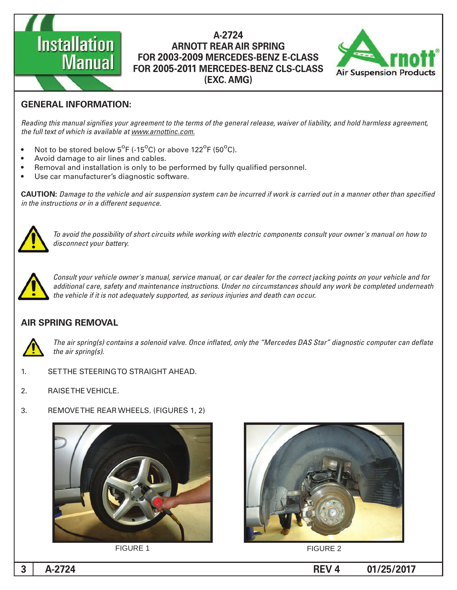



#### **GENERAL INFORMATION:**

Reading this manual signifies your agreement to the terms of the general release, waiver of liability, and hold harmless agreement, the full text of which is available at www.arnottinc.com.

- Not to be stored below  $5^{\circ}$ F (-15 $^{\circ}$ C) or above 122 $^{\circ}$ F (50 $^{\circ}$ C).
- Avoid damage to air lines and cables.
- Removal and installation is only to be performed by fully qualified personnel.
- Use car manufacturer's diagnostic software.

**CAUTION:** Damage to the vehicle and air suspension system can be incurred if work is carried out in a manner other than specified *in the instructions or in a different sequence.* 



 *to how on manual s'owner your consult components electric with working while circuits short of possibility the avoid To* disconnect your battery.



*Consult your vehicle owner's manual, service manual, or car dealer for the correct jacking points on your vehicle and for* additional care, safety and maintenance instructions. Under no circumstances should any work be completed underneath the vehicle if it is not adequately supported, as serious injuries and death can occur.

#### **AIR SPRING REMOVAL**



The air spring(s) contains a solenoid valve. Once inflated, only the "Mercedes DAS Star" diagnostic computer can deflate *the air spring(s).* 

- 1. SETTHE STEERING TO STRAIGHT AHEAD.
- 2. RAISE THE VEHICLE.
- 3. REMOVE THE REAR WHEELS. (FIGURES 1, 2)





**FIGURE 1** FIGURE 2

**1** A-2724 **B**  $\sim$  **PM**  $\sim$  **PM**  $\sim$  **PM**  $\sim$  **PM**  $\sim$  **PM**  $\sim$  **PM**  $\sim$  **PM**  $\sim$  **PM**  $\sim$  **PM**  $\sim$  **PM**  $\sim$  **PM**  $\sim$  **PM**  $\sim$  **PM**  $\sim$  **PM**  $\sim$  **PM**  $\sim$  **PM**  $\sim$  **PM**  $\sim$  **PM**  $\sim$  **PM**  $\sim$  **PM**  $\sim$  **P**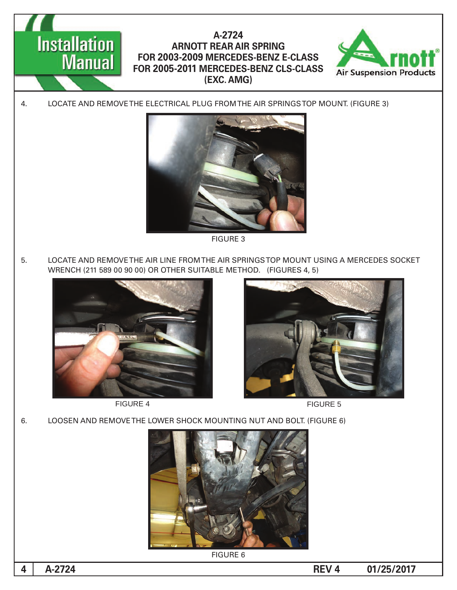

**FIGURE 3** 

5. LOCATE AND REMOVE THE AIR LINE FROM THE AIR SPRINGS TOP MOUNT USING A MERCEDES SOCKET WRENCH (211 589 00 90 00) OR OTHER SUITABLE METHOD. (FIGURES 4, 5)



FIGURE 4 FIGURE 5





6. LOOSEN AND REMOVE THE LOWER SHOCK MOUNTING NUT AND BOLT. (FIGURE 6)



**FIGURE 6** 

**1** A-2724 **REV** 4 **B**  $\overline{01/25/2017}$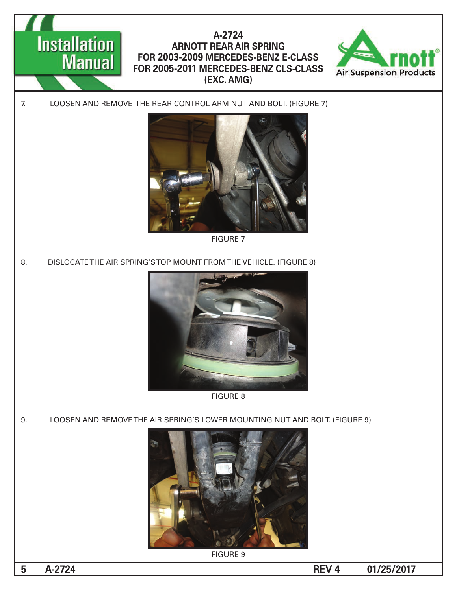

7 FIGURE

8. DISLOCATE THE AIR SPRING'S TOP MOUNT FROM THE VEHICLE. (FIGURE 8)



8 FIGURE

9. LOOSEN AND REMOVE THE AIR SPRING'S LOWER MOUNTING NUT AND BOLT. (FIGURE 9)



**FIGURE 9** 

**1**  $\bullet$  **01/25/2017**